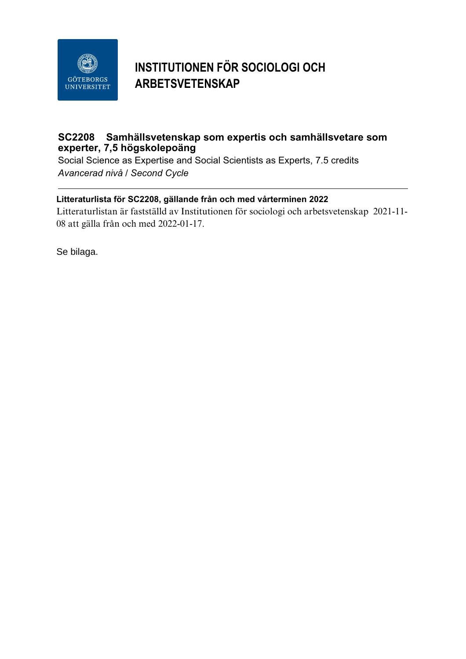

## **INSTITUTIONEN FÖR SOCIOLOGI OCH ARBETSVETENSKAP**

## **SC2208 Samhällsvetenskap som expertis och samhällsvetare som experter, 7,5 högskolepoäng**

Social Science as Expertise and Social Scientists as Experts, 7.5 credits *Avancerad nivå / Second Cycle*

## **Litteraturlista för SC2208, gällande från och med vårterminen 2022**

Litteraturlistan är fastställd av Institutionen för sociologi och arbetsvetenskap 2021-11- 08 att gälla från och med 2022-01-17.

Se bilaga.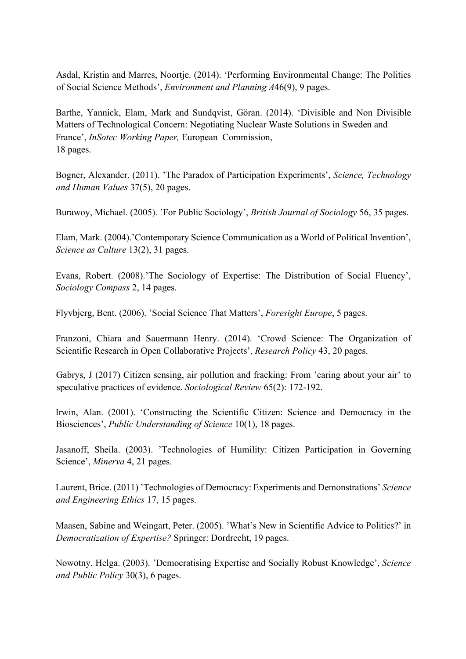Asdal, Kristin and Marres, Noortje. (2014). 'Performing Environmental Change: The Politics of Social Science Methods', *Environment and Planning A*46(9), 9 pages.

Barthe, Yannick, Elam, Mark and Sundqvist, Göran. (2014). 'Divisible and Non Divisible Matters of Technological Concern: Negotiating Nuclear Waste Solutions in Sweden and France', *InSotec Working Paper,* European Commission, 18 pages.

Bogner, Alexander. (2011). 'The Paradox of Participation Experiments', *Science, Technology and Human Values* 37(5), 20 pages.

Burawoy, Michael. (2005). 'For Public Sociology', *British Journal of Sociology* 56, 35 pages.

Elam, Mark. (2004).'Contemporary Science Communication as a World of Political Invention', *Science as Culture* 13(2), 31 pages.

Evans, Robert. (2008).'The Sociology of Expertise: The Distribution of Social Fluency', *Sociology Compass* 2, 14 pages.

Flyvbjerg, Bent. (2006). 'Social Science That Matters', *Foresight Europe*, 5 pages.

Franzoni, Chiara and Sauermann Henry. (2014). 'Crowd Science: The Organization of Scientific Research in Open Collaborative Projects', *Research Policy* 43, 20 pages.

Gabrys, J (2017) Citizen sensing, air pollution and fracking: From 'caring about your air' to speculative practices of evidence. *Sociological Review* 65(2): 172-192.

Irwin, Alan. (2001). 'Constructing the Scientific Citizen: Science and Democracy in the Biosciences', *Public Understanding of Science* 10(1), 18 pages.

Jasanoff, Sheila. (2003). 'Technologies of Humility: Citizen Participation in Governing Science', *Minerva* 4, 21 pages.

Laurent, Brice. (2011) 'Technologies of Democracy: Experiments and Demonstrations' *Science and Engineering Ethics* 17, 15 pages.

Maasen, Sabine and Weingart, Peter. (2005). 'What's New in Scientific Advice to Politics?' in *Democratization of Expertise?* Springer: Dordrecht, 19 pages.

Nowotny, Helga. (2003). 'Democratising Expertise and Socially Robust Knowledge', *Science and Public Policy* 30(3), 6 pages.